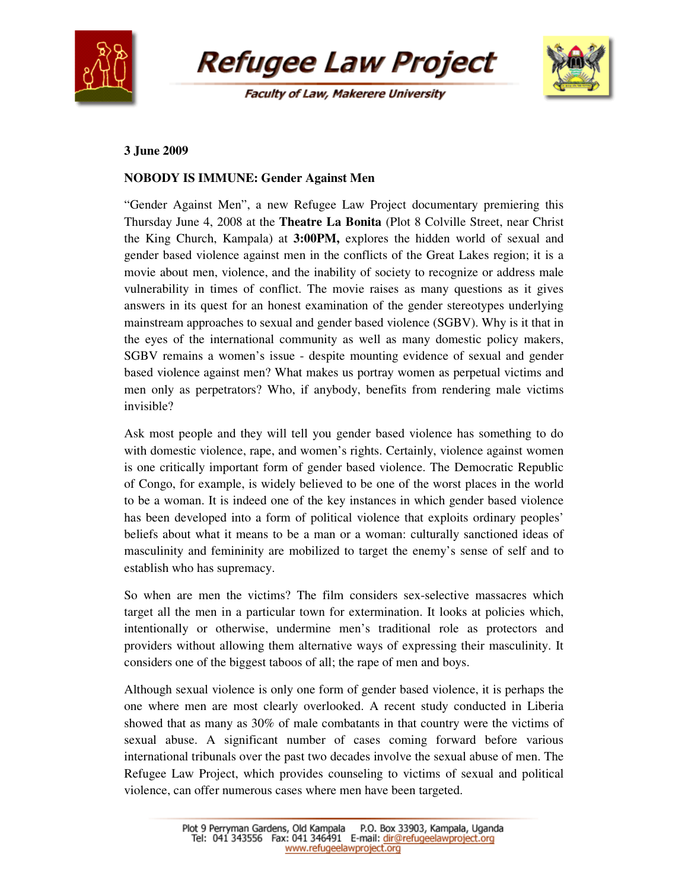

**Refugee Law Project** 

**Faculty of Law, Makerere University** 



## **3 June 2009**

## **NOBODY IS IMMUNE: Gender Against Men**

"Gender Against Men", a new Refugee Law Project documentary premiering this Thursday June 4, 2008 at the **Theatre La Bonita** (Plot 8 Colville Street, near Christ the King Church, Kampala) at **3:00PM,** explores the hidden world of sexual and gender based violence against men in the conflicts of the Great Lakes region; it is a movie about men, violence, and the inability of society to recognize or address male vulnerability in times of conflict. The movie raises as many questions as it gives answers in its quest for an honest examination of the gender stereotypes underlying mainstream approaches to sexual and gender based violence (SGBV). Why is it that in the eyes of the international community as well as many domestic policy makers, SGBV remains a women's issue - despite mounting evidence of sexual and gender based violence against men? What makes us portray women as perpetual victims and men only as perpetrators? Who, if anybody, benefits from rendering male victims invisible?

Ask most people and they will tell you gender based violence has something to do with domestic violence, rape, and women's rights. Certainly, violence against women is one critically important form of gender based violence. The Democratic Republic of Congo, for example, is widely believed to be one of the worst places in the world to be a woman. It is indeed one of the key instances in which gender based violence has been developed into a form of political violence that exploits ordinary peoples' beliefs about what it means to be a man or a woman: culturally sanctioned ideas of masculinity and femininity are mobilized to target the enemy's sense of self and to establish who has supremacy.

So when are men the victims? The film considers sex-selective massacres which target all the men in a particular town for extermination. It looks at policies which, intentionally or otherwise, undermine men's traditional role as protectors and providers without allowing them alternative ways of expressing their masculinity. It considers one of the biggest taboos of all; the rape of men and boys.

Although sexual violence is only one form of gender based violence, it is perhaps the one where men are most clearly overlooked. A recent study conducted in Liberia showed that as many as 30% of male combatants in that country were the victims of sexual abuse. A significant number of cases coming forward before various international tribunals over the past two decades involve the sexual abuse of men. The Refugee Law Project, which provides counseling to victims of sexual and political violence, can offer numerous cases where men have been targeted.